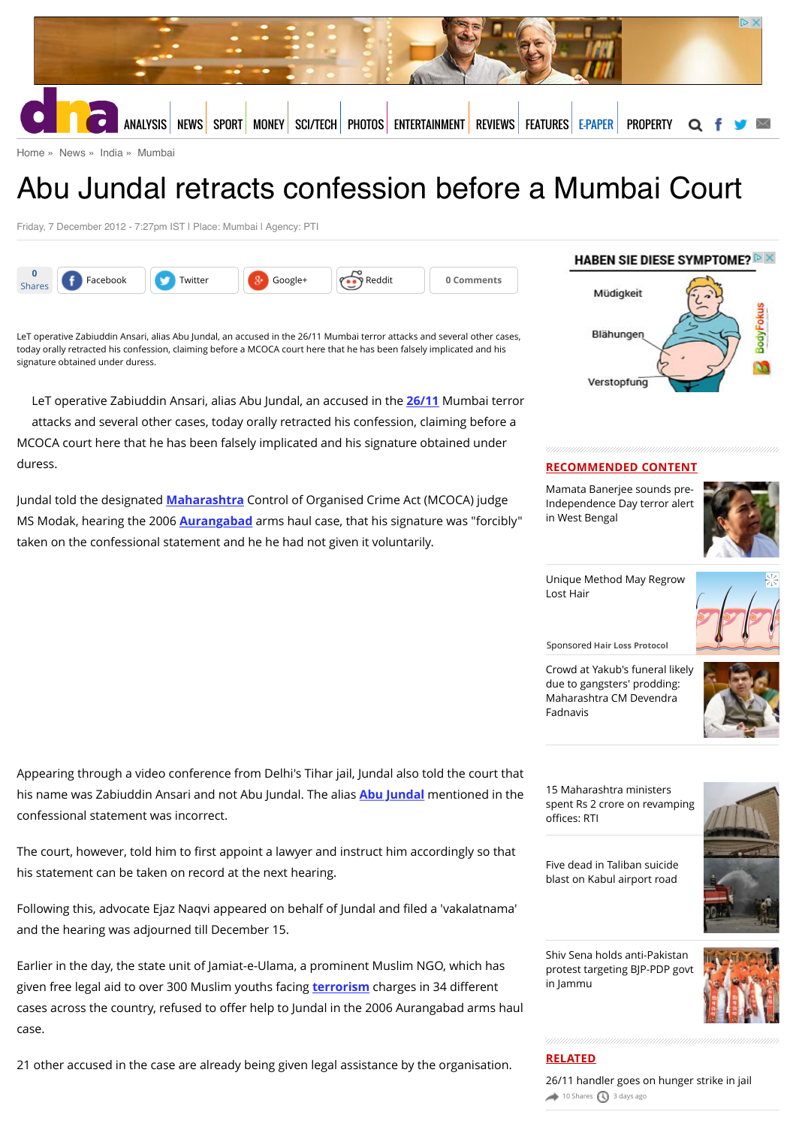

[Home](http://www.dnaindia.com/) » [News](http://www.dnaindia.com/news) » [India](http://www.dnaindia.com/india) » [Mumbai](http://www.dnaindia.com/mumbai)

# Abu Jundal retracts confession before a Mumbai Court

Friday, 7 December 2012 - 7:27pm IST | Place: Mumbai | Agency: PTI

| -acebook | Twitter | - | 1.111<br>keaait | าents |  |
|----------|---------|---|-----------------|-------|--|
|          |         |   |                 |       |  |

LeT operative Zabiuddin Ansari, alias Abu Jundal, an accused in the 26/11 Mumbai terror attacks and several other cases, today orally retracted his confession, claiming before a MCOCA court here that he has been falsely implicated and his signature obtained under duress.

LeT operative Zabiuddin Ansari, alias Abu Jundal, an accused in the **[26/11](http://www.dnaindia.com/topic/2611)** Mumbai terror attacks and several other cases, today orally retracted his confession, claiming before a MCOCA court here that he has been falsely implicated and his signature obtained under duress.

Jundal told the designated **[Maharashtra](http://www.dnaindia.com/topic/maharashtra)** Control of Organised Crime Act (MCOCA) judge MS Modak, hearing the 2006 **[Aurangabad](http://www.dnaindia.com/topic/aurangabad)** arms haul case, that his signature was "forcibly" taken on the confessional statement and he he had not given it voluntarily.



#### **RECOMMENDED CONTENT**

Mamata Banerjee sounds pre-[Independence Day terror alert](http://www.dnaindia.com/india/report-mamata-banerjee-sounds-pre-independence-day-terror-alert-in-west-bengal-2113023) in West Bengal



[Unique Method May Regrow](https://beap.gemini.yahoo.com/mbclk?bv=1.0.0&es=3FyjbPEGIS9tfsws8RNczOiIFxpno4TiRMHxzJy0sd.UYGEvPJCbdXGflF_SO350oxu9vZkJuvBh5UpvrAuQSGkbvEFLC6WjCX0_bsawtGBmBshP8FOPeFfNeA0SNvV5OdSCvekO_LJ3WVqUFOnKVFDnuJPZ3gQX6FKUGrG.WMn2yoWK2RCBW64.mU1JLa1pEI0ytISTimDVAUIXtGIEK_mBtWr7ij7X9zHixfEQpuUmOXVRUmMMvGBkQwVuQck8FZxVTn9xGOnPHhd_UAbT7.w4Qh7BBLJkqDCdKI6YCMZFm90TM9iVPb4cLQf42aJhhD18k93wHfoTdOgCjayxtjAuvgII9DzGB8batmeIP9Gfx39wpHizGa2WglgmL4h9r4PY7INWUatqjczfEvoyMMhNKiK8wZa3jJ0D0PH.y29x2ZNGagLdTR2mCetdwA_CjwTh1TtUGEyDXbc6utPYUb0uIZMuFblqq6yusP68rf7cdN.dJzYV4FSNIT.fQLmuhii7TsG4cfeuXAneb6JPcoWolFY-%26lp=) Lost Hair



Sponsored **Hair Loss Protocol**

[Crowd at Yakub's funeral likely](http://www.dnaindia.com/india/report-crowd-at-yakub-s-funeral-likely-due-to-gangsters-prodding-maharashtra-cm-devendra-fadnavis-2112955) due to gangsters' prodding: Maharashtra CM Devendra Fadnavis

Appearing through a video conference from Delhi's Tihar jail, Jundal also told the court that his name was Zabiuddin Ansari and not Abu Jundal. The alias **[Abu Jundal](http://www.dnaindia.com/topic/abu-jundal)** mentioned in the confessional statement was incorrect.

The court, however, told him to first appoint a lawyer and instruct him accordingly so that his statement can be taken on record at the next hearing.

Following this, advocate Ejaz Naqvi appeared on behalf of Jundal and filed a 'vakalatnama' and the hearing was adjourned till December 15.

Earlier in the day, the state unit of Jamiat-e-Ulama, a prominent Muslim NGO, which has given free legal aid to over 300 Muslim youths facing **[terrorism](http://www.dnaindia.com/topic/terrorism)** charges in 34 different cases across the country, refused to offer help to Jundal in the 2006 Aurangabad arms haul case.

21 other accused in the case are already being given legal assistance by the organisation.

15 Maharashtra ministers [spent Rs 2 crore on revamping](http://www.dnaindia.com/mumbai/report-15-maharashtra-ministers-spent-rs-2-crore-on-revamping-offices-rti-2113064) offices: RTI

[Five dead in Taliban suicide](http://www.dnaindia.com/world/report-five-dead-in-taliban-suicide-blast-on-kabul-airport-road-2112904) blast on Kabul airport road



Shiv Sena holds anti-Pakistan [protest targeting BJP-PDP govt](http://www.dnaindia.com/india/report-shiv-sena-holds-anti-pakistan-protest-targeting-bjp-pdp-govt-in-jammu-2112651) in Jammu



### **RELATED**

[26/11 handler goes on hunger strike in jail](http://www.dnaindia.com/mumbai/report-2611-handler-goes-on-hunger-strike-in-jail-2111870)  $\rightarrow$  [10 Shares](http://www.dnaindia.com/mumbai/report-abu-jundal-retracts-confession-before-a-mumbai-court-1774757#)  $\bigcirc$  [3 days ago](http://www.dnaindia.com/mumbai/report-abu-jundal-retracts-confession-before-a-mumbai-court-1774757#)